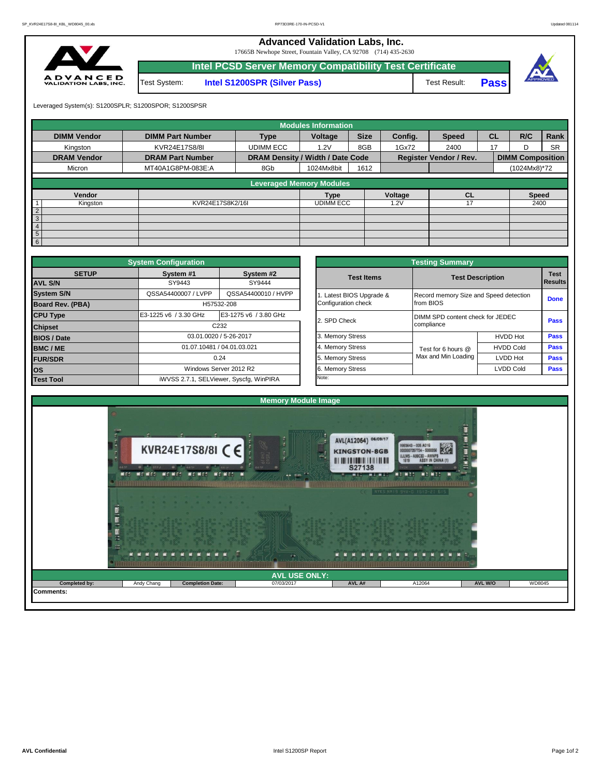**Advanced Validation Labs, Inc.** 

17665B Newhope Street, Fountain Valley, CA 92708 (714) 435-2630



|              | Intel PCSD Server Memory Compatibility Test Certificate <sup> </sup> |              |             |  |
|--------------|----------------------------------------------------------------------|--------------|-------------|--|
| Test System: | <b>Intel S1200SPR (Silver Pass)</b>                                  | Test Result: | <b>Pass</b> |  |



Leveraged System(s): S1200SPLR; S1200SPOR; S1200SPSR

|                    |                         |                                  | <b>Modules Information</b> |             |         |                               |           |                         |           |
|--------------------|-------------------------|----------------------------------|----------------------------|-------------|---------|-------------------------------|-----------|-------------------------|-----------|
| <b>DIMM Vendor</b> | <b>DIMM Part Number</b> | <b>Type</b>                      | Voltage                    | <b>Size</b> | Config. | <b>Speed</b>                  | <b>CL</b> | R/C                     | Rank      |
| Kinaston           | KVR24E17S8/8I           | <b>UDIMM ECC</b>                 | 1.2V                       | 8GB         | 1Gx72   | 2400                          | 17        | D                       | <b>SR</b> |
| <b>DRAM Vendor</b> | <b>DRAM Part Number</b> | DRAM Density / Width / Date Code |                            |             |         | <b>Register Vendor / Rev.</b> |           | <b>DIMM Composition</b> |           |
| Micron             | MT40A1G8PM-083E:A       | 8Gb                              | 1024Mx8bit                 | 1612        |         |                               |           | (1024Mx8)*72            |           |
|                    |                         | <b>Leveraged Memory Modules</b>  |                            |             |         |                               |           |                         |           |
|                    |                         |                                  |                            |             |         |                               |           |                         |           |
| Vendor             |                         |                                  | <b>Type</b>                |             | Voltage | CL                            |           | <b>Speed</b>            |           |
| Kingston           | KVR24E17S8K2/16I        |                                  | <b>UDIMM ECC</b>           |             | 1.2V    | 17                            |           | 2400                    |           |
| $\sqrt{2}$         |                         |                                  |                            |             |         |                               |           |                         |           |
| $\overline{3}$     |                         |                                  |                            |             |         |                               |           |                         |           |
| $\overline{4}$     |                         |                                  |                            |             |         |                               |           |                         |           |
| $\sqrt{5}$         |                         |                                  |                            |             |         |                               |           |                         |           |
| $6\overline{6}$    |                         |                                  |                            |             |         |                               |           |                         |           |

|                    | <b>System Configuration</b> |                                                                                                                                                                                                                           |  |                       | <b>Testing Summary</b>                 |                  |             |
|--------------------|-----------------------------|---------------------------------------------------------------------------------------------------------------------------------------------------------------------------------------------------------------------------|--|-----------------------|----------------------------------------|------------------|-------------|
| <b>SETUP</b>       | System #1                   | System #2                                                                                                                                                                                                                 |  |                       | <b>Test Description</b>                |                  | <b>Test</b> |
| <b>AVL S/N</b>     | SY9443                      | SY9444                                                                                                                                                                                                                    |  |                       |                                        |                  | Results     |
| <b>System S/N</b>  | QSSA54400007 / LVPP         | QSSA54400010 / HVPP                                                                                                                                                                                                       |  | Latest BIOS Upgrade & | Record memory Size and Speed detection |                  | <b>Done</b> |
| Board Rev. (PBA)   |                             |                                                                                                                                                                                                                           |  | Configuration check   | from BIOS                              |                  |             |
| <b>CPU Type</b>    | E3-1225 v6 / 3.30 GHz       | E3-1275 v6 / 3.80 GHz                                                                                                                                                                                                     |  |                       | DIMM SPD content check for JEDEC       |                  | Pass        |
| <b>Chipset</b>     |                             |                                                                                                                                                                                                                           |  |                       | compliance                             |                  |             |
| <b>BIOS / Date</b> |                             |                                                                                                                                                                                                                           |  | 3. Memory Stress      |                                        | <b>HVDD Hot</b>  | Pass        |
| <b>BMC/ME</b>      |                             | <b>Test Items</b><br>H57532-208<br>2. SPD Check<br>C <sub>232</sub><br>03.01.0020 / 5-26-2017<br>4. Memory Stress<br>01.07.10481 / 04.01.03.021<br>5. Memory Stress<br>0.24<br>Windows Server 2012 R2<br>6. Memory Stress |  |                       | Test for 6 hours @                     | <b>HVDD Cold</b> | Pass        |
| <b>FUR/SDR</b>     |                             |                                                                                                                                                                                                                           |  |                       | Max and Min Loading                    | <b>LVDD Hot</b>  | Pass        |
| <b>los</b>         |                             |                                                                                                                                                                                                                           |  |                       |                                        | <b>LVDD Cold</b> | Pass        |
| <b>Test Tool</b>   |                             | iWVSS 2.7.1, SELViewer, Syscfq, WinPIRA                                                                                                                                                                                   |  | Note:                 |                                        |                  |             |

|              | <b>System Configuration</b> |                                         |                       | <b>Testing Summary</b>           |                                                     |                               |  |  |  |
|--------------|-----------------------------|-----------------------------------------|-----------------------|----------------------------------|-----------------------------------------------------|-------------------------------|--|--|--|
| <b>SETUP</b> | System #1<br>SY9443         | System #2<br>SY9444                     | <b>Test Items</b>     | <b>Test Description</b>          |                                                     | <b>Test</b><br><b>Results</b> |  |  |  |
|              | QSSA54400007 / LVPP         | QSSA54400010 / HVPP                     | Latest BIOS Upgrade & |                                  | Record memory Size and Speed detection<br>from BIOS |                               |  |  |  |
| PBA)         |                             | H57532-208                              | Configuration check   |                                  |                                                     |                               |  |  |  |
|              | E3-1225 v6 / 3.30 GHz       | E3-1275 v6 / 3.80 GHz                   | 2. SPD Check          | DIMM SPD content check for JEDEC |                                                     | Pass                          |  |  |  |
|              |                             | C <sub>232</sub>                        |                       | compliance                       |                                                     |                               |  |  |  |
|              |                             | 03.01.0020 / 5-26-2017                  | 3. Memory Stress      |                                  | <b>HVDD Hot</b>                                     | Pass                          |  |  |  |
|              |                             | 01.07.10481 / 04.01.03.021              | 4. Memory Stress      | Test for 6 hours @               | <b>HVDD Cold</b>                                    | Pass                          |  |  |  |
|              |                             | 0.24                                    | 5. Memory Stress      | Max and Min Loading              | LVDD Hot                                            | Pass                          |  |  |  |
|              |                             | Windows Server 2012 R2                  | 6. Memory Stress      |                                  | <b>LVDD Cold</b>                                    | Pass                          |  |  |  |
|              |                             | iWVSS 2.7.1, SELViewer, Syscfq, WinPIRA | Note:                 |                                  |                                                     |                               |  |  |  |